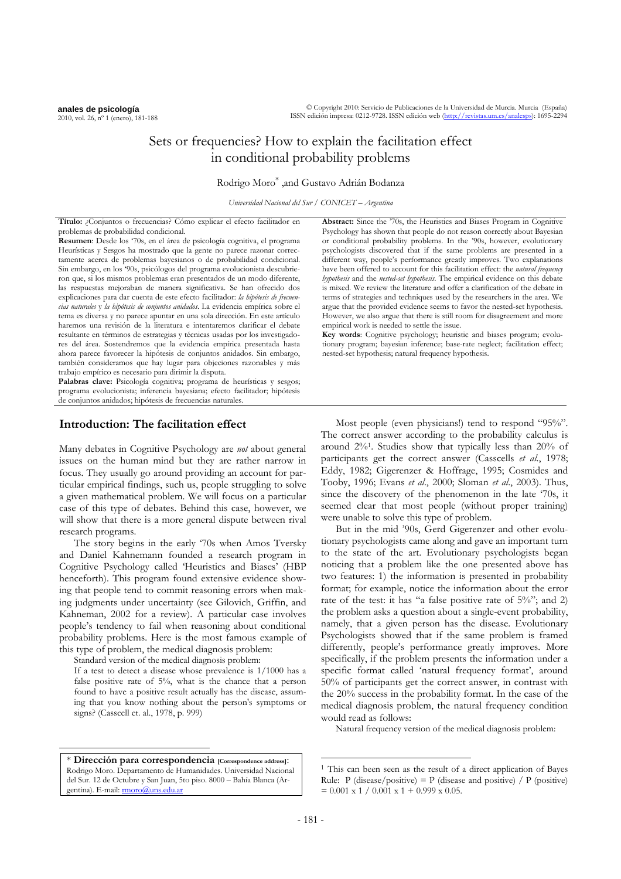© Copyright 2010: Servicio de Publicaciones de la Universidad de Murcia. Murcia (España) ISSN edición impresa: 0212-9728. ISSN edición web (http://revistas.um.es/analesps): 1695-2294

# Sets or frequencies? How to explain the facilitation effect in conditional probability problems

Rodrigo Moro\* ,and Gustavo Adrián Bodanza

*Universidad Nacional del Sur / CONICET – Argentina* 

**Título:** ¿Conjuntos o frecuencias? Cómo explicar el efecto facilitador en problemas de probabilidad condicional.

**Resumen**: Desde los '70s, en el área de psicología cognitiva, el programa Heurísticas y Sesgos ha mostrado que la gente no parece razonar correctamente acerca de problemas bayesianos o de probabilidad condicional. Sin embargo, en los '90s, psicólogos del programa evolucionista descubrieron que, si los mismos problemas eran presentados de un modo diferente, las respuestas mejoraban de manera significativa. Se han ofrecido dos explicaciones para dar cuenta de este efecto facilitador: *la hipótesis de frecuencias naturales* y *la hipótesis de conjuntos anidados*. La evidencia empírica sobre el tema es diversa y no parece apuntar en una sola dirección. En este artículo haremos una revisión de la literatura e intentaremos clarificar el debate resultante en términos de estrategias y técnicas usadas por los investigadores del área. Sostendremos que la evidencia empírica presentada hasta ahora parece favorecer la hipótesis de conjuntos anidados. Sin embargo, también consideramos que hay lugar para objeciones razonables y más trabajo empírico es necesario para dirimir la disputa.

Palabras clave: Psicología cognitiva; programa de heurísticas y sesgos; programa evolucionista; inferencia bayesiana; efecto facilitador; hipótesis de conjuntos anidados; hipótesis de frecuencias naturales.

## **[In](#page-0-0)troduction: The facilitation effect**

Many debates in Cognitive Psychology are *not* about general issues on the human mind but they are rather narrow in focus. They usually go around providing an account for particular empirical findings, such us, people struggling to solve a given mathematical problem. We will focus on a particular case of this type of debates. Behind this case, however, we will show that there is a more general dispute between rival research programs.

The story begins in the early '70s when Amos Tversky and Daniel Kahnemann founded a research program in Cognitive Psychology called 'Heuristics and Biases' (HBP henceforth). This program found extensive evidence showing that people tend to commit reasoning errors when making judgments under uncertainty (see Gilovich, Griffin, and Kahneman, 2002 for a review). A particular case involves people's tendency to fail when reasoning about conditional probability problems. Here is the most famous example of this type of problem, the medical diagnosis problem:

Standard version of the medical diagnosis problem:

 $\overline{a}$ 

If a test to detect a disease whose prevalence is 1/1000 has a false positive rate of 5%, what is the chance that a person found to have a positive result actually has the disease, assuming that you know nothing about the person's symptoms or signs? (Casscell et. al., 1978, p. 999)

<span id="page-0-0"></span>\* **Dirección para correspondencia [Correspondence address]**: Rodrigo Moro. Departamento de Humanidades. Universidad Nacional del Sur. 12 de Octubre y San Juan, 5to piso. 8000 – Bahía Blanca (Argentina). E-mail: moro@uns.edu.ar

**Abstract:** Since the '70s, the Heuristics and Biases Program in Cognitive Psychology has shown that people do not reason correctly about Bayesian or conditional probability problems. In the '90s, however, evolutionary psychologists discovered that if the same problems are presented in a different way, people's performance greatly improves. Two explanations have been offered to account for this facilitation effect: the *natural frequency hypothesis* and the *nested-set hypothesis*. The empirical evidence on this debate is mixed. We review the literature and offer a clarification of the debate in terms of strategies and techniques used by the researchers in the area. We argue that the provided evidence seems to favor the nested-set hypothesis. However, we also argue that there is still room for disagreement and more empirical work is needed to settle the issue.

**Key words**: Cognitive psychology; heuristic and biases program; evolutionary program; bayesian inference; base-rate neglect; facilitation effect; nested-set hypothesis; natural frequency hypothesis.

Most people (even physicians!) tend to respond "95%". The correct answer according to the probability calculus is around 2[%1.](#page-0-1) Studies show that typically less than 20% of participants get the correct answer (Casscells *et al*., 1978; Eddy, 1982; Gigerenzer & Hoffrage, 1995; Cosmides and Tooby, 1996; Evans *et al*., 2000; Sloman *et al*., 2003). Thus, since the discovery of the phenomenon in the late '70s, it seemed clear that most people (without proper training) were unable to solve this type of problem.

 But in the mid '90s, Gerd Gigerenzer and other evolutionary psychologists came along and gave an important turn to the state of the art. Evolutionary psychologists began noticing that a problem like the one presented above has two features: 1) the information is presented in probability format; for example, notice the information about the error rate of the test: it has "a false positive rate of  $5\%$ "; and 2) the problem asks a question about a single-event probability, namely, that a given person has the disease. Evolutionary Psychologists showed that if the same problem is framed differently, people's performance greatly improves. More specifically, if the problem presents the information under a specific format called 'natural frequency format', around 50% of participants get the correct answer, in contrast with the 20% success in the probability format. In the case of the medical diagnosis problem, the natural frequency condition would read as follows:

Natural frequency version of the medical diagnosis problem:

-

<span id="page-0-1"></span><sup>1</sup> This can been seen as the result of a direct application of Bayes Rule: P (disease/positive) = P (disease and positive) / P (positive)  $= 0.001 \times 1 / 0.001 \times 1 + 0.999 \times 0.05.$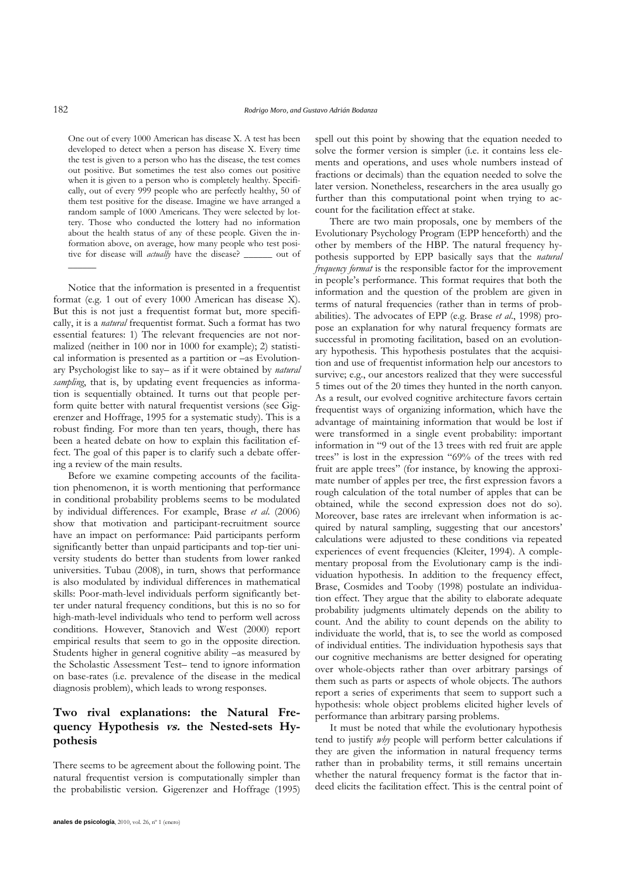One out of every 1000 American has disease X. A test has been developed to detect when a person has disease X. Every time the test is given to a person who has the disease, the test comes out positive. But sometimes the test also comes out positive when it is given to a person who is completely healthy. Specifically, out of every 999 people who are perfectly healthy, 50 of them test positive for the disease. Imagine we have arranged a random sample of 1000 Americans. They were selected by lottery. Those who conducted the lottery had no information about the health status of any of these people. Given the information above, on average, how many people who test positive for disease will *actually* have the disease? \_\_\_\_\_\_ out of

Notice that the information is presented in a frequentist format (e.g. 1 out of every 1000 American has disease X). But this is not just a frequentist format but, more specifically, it is a *natural* frequentist format. Such a format has two essential features: 1) The relevant frequencies are not normalized (neither in 100 nor in 1000 for example); 2) statistical information is presented as a partition or –as Evolutionary Psychologist like to say– as if it were obtained by *natural*  sampling, that is, by updating event frequencies as information is sequentially obtained. It turns out that people perform quite better with natural frequentist versions (see Gigerenzer and Hoffrage, 1995 for a systematic study). This is a robust finding. For more than ten years, though, there has been a heated debate on how to explain this facilitation effect. The goal of this paper is to clarify such a debate offering a review of the main results.

Before we examine competing accounts of the facilitation phenomenon, it is worth mentioning that performance in conditional probability problems seems to be modulated by individual differences. For example, Brase *et al*. (2006) show that motivation and participant-recruitment source have an impact on performance: Paid participants perform significantly better than unpaid participants and top-tier university students do better than students from lower ranked universities. Tubau (2008), in turn, shows that performance is also modulated by individual differences in mathematical skills: Poor-math-level individuals perform significantly better under natural frequency conditions, but this is no so for high-math-level individuals who tend to perform well across conditions. However, Stanovich and West (2000) report empirical results that seem to go in the opposite direction. Students higher in general cognitive ability –as measured by the Scholastic Assessment Test– tend to ignore information on base-rates (i.e. prevalence of the disease in the medical diagnosis problem), which leads to wrong responses.

# **Two rival explanations: the Natural Frequency Hypothesis vs. the Nested-sets Hypothesis**

There seems to be agreement about the following point. The natural frequentist version is computationally simpler than the probabilistic version. Gigerenzer and Hoffrage (1995)

spell out this point by showing that the equation needed to solve the former version is simpler (i.e. it contains less elements and operations, and uses whole numbers instead of fractions or decimals) than the equation needed to solve the later version. Nonetheless, researchers in the area usually go further than this computational point when trying to account for the facilitation effect at stake.

There are two main proposals, one by members of the Evolutionary Psychology Program (EPP henceforth) and the other by members of the HBP. The natural frequency hypothesis supported by EPP basically says that the *natural frequency format* is the responsible factor for the improvement in people's performance. This format requires that both the information and the question of the problem are given in terms of natural frequencies (rather than in terms of probabilities). The advocates of EPP (e.g. Brase *et al*., 1998) propose an explanation for why natural frequency formats are successful in promoting facilitation, based on an evolutionary hypothesis. This hypothesis postulates that the acquisition and use of frequentist information help our ancestors to survive; e.g., our ancestors realized that they were successful 5 times out of the 20 times they hunted in the north canyon. As a result, our evolved cognitive architecture favors certain frequentist ways of organizing information, which have the advantage of maintaining information that would be lost if were transformed in a single event probability: important information in "9 out of the 13 trees with red fruit are apple trees" is lost in the expression "69% of the trees with red fruit are apple trees" (for instance, by knowing the approximate number of apples per tree, the first expression favors a rough calculation of the total number of apples that can be obtained, while the second expression does not do so). Moreover, base rates are irrelevant when information is acquired by natural sampling, suggesting that our ancestors' calculations were adjusted to these conditions via repeated experiences of event frequencies (Kleiter, 1994). A complementary proposal from the Evolutionary camp is the individuation hypothesis. In addition to the frequency effect, Brase, Cosmides and Tooby (1998) postulate an individuation effect. They argue that the ability to elaborate adequate probability judgments ultimately depends on the ability to count. And the ability to count depends on the ability to individuate the world, that is, to see the world as composed of individual entities. The individuation hypothesis says that our cognitive mechanisms are better designed for operating over whole-objects rather than over arbitrary parsings of them such as parts or aspects of whole objects. The authors report a series of experiments that seem to support such a hypothesis: whole object problems elicited higher levels of performance than arbitrary parsing problems.

It must be noted that while the evolutionary hypothesis tend to justify *why* people will perform better calculations if they are given the information in natural frequency terms rather than in probability terms, it still remains uncertain whether the natural frequency format is the factor that indeed elicits the facilitation effect. This is the central point of

 $\overline{\phantom{a}}$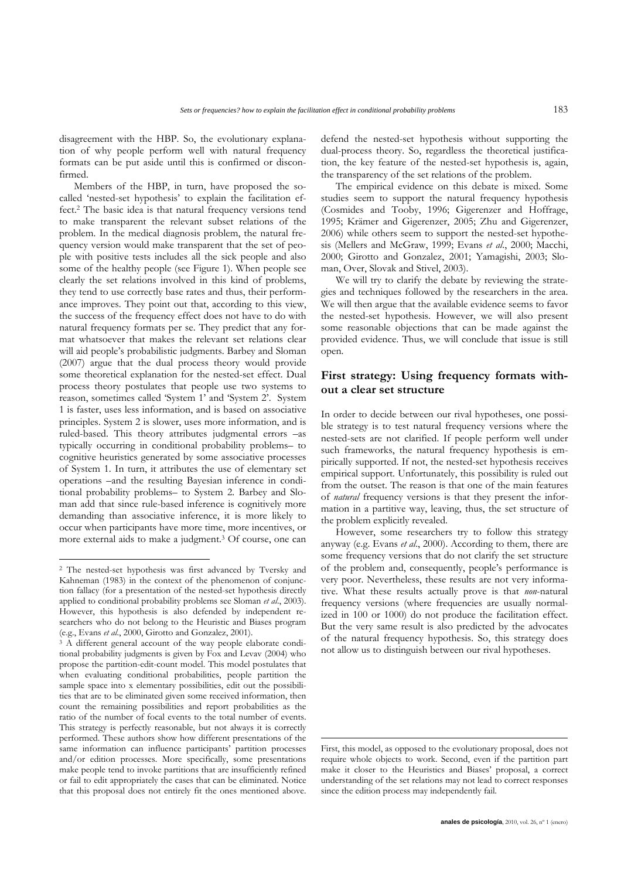disagreement with the HBP. So, the evolutionary explanation of why people perform well with natural frequency formats can be put aside until this is confirmed or disconfirmed.

Members of the HBP, in turn, have proposed the socalled 'nested-set hypothesis' to explain the facilitation effect.[2](#page-2-0) The basic idea is that natural frequency versions tend to make transparent the relevant subset relations of the problem. In the medical diagnosis problem, the natural frequency version would make transparent that the set of people with positive tests includes all the sick people and also some of the healthy people (see Figure 1). When people see clearly the set relations involved in this kind of problems, they tend to use correctly base rates and thus, their performance improves. They point out that, according to this view, the success of the frequency effect does not have to do with natural frequency formats per se. They predict that any format whatsoever that makes the relevant set relations clear will aid people's probabilistic judgments. Barbey and Sloman (2007) argue that the dual process theory would provide some theoretical explanation for the nested-set effect. Dual process theory postulates that people use two systems to reason, sometimes called 'System 1' and 'System 2'. System 1 is faster, uses less information, and is based on associative principles. System 2 is slower, uses more information, and is ruled-based. This theory attributes judgmental errors –as typically occurring in conditional probability problems– to cognitive heuristics generated by some associative processes of System 1. In turn, it attributes the use of elementary set operations –and the resulting Bayesian inference in conditional probability problems– to System 2. Barbey and Sloman add that since rule-based inference is cognitively more demanding than associative inference, it is more likely to occur when participants have more time, more incentives, or more external aids to make a judgment[.3](#page-2-1) Of course, one can

 $\overline{a}$ 

defend the nested-set hypothesis without supporting the dual-process theory. So, regardless the theoretical justification, the key feature of the nested-set hypothesis is, again, the transparency of the set relations of the problem.

The empirical evidence on this debate is mixed. Some studies seem to support the natural frequency hypothesis (Cosmides and Tooby, 1996; Gigerenzer and Hoffrage, 1995; Krämer and Gigerenzer, 2005; Zhu and Gigerenzer, 2006) while others seem to support the nested-set hypothesis (Mellers and McGraw, 1999; Evans *et al*., 2000; Macchi, 2000; Girotto and Gonzalez, 2001; Yamagishi, 2003; Sloman, Over, Slovak and Stivel, 2003).

We will try to clarify the debate by reviewing the strategies and techniques followed by the researchers in the area. We will then argue that the available evidence seems to favor the nested-set hypothesis. However, we will also present some reasonable objections that can be made against the provided evidence. Thus, we will conclude that issue is still open.

# **First strategy: Using frequency formats without a clear set structure**

In order to decide between our rival hypotheses, one possible strategy is to test natural frequency versions where the nested-sets are not clarified. If people perform well under such frameworks, the natural frequency hypothesis is empirically supported. If not, the nested-set hypothesis receives empirical support. Unfortunately, this possibility is ruled out from the outset. The reason is that one of the main features of *natural* frequency versions is that they present the information in a partitive way, leaving, thus, the set structure of the problem explicitly revealed.

However, some researchers try to follow this strategy anyway (e.g. Evans *et al*., 2000). According to them, there are some frequency versions that do not clarify the set structure of the problem and, consequently, people's performance is very poor. Nevertheless, these results are not very informative. What these results actually prove is that *non*-natural frequency versions (where frequencies are usually normalized in 100 or 1000) do not produce the facilitation effect. But the very same result is also predicted by the advocates of the natural frequency hypothesis. So, this strategy does not allow us to distinguish between our rival hypotheses.

-

<span id="page-2-0"></span><sup>2</sup> The nested-set hypothesis was first advanced by Tversky and Kahneman (1983) in the context of the phenomenon of conjunction fallacy (for a presentation of the nested-set hypothesis directly applied to conditional probability problems see Sloman *et al*., 2003). However, this hypothesis is also defended by independent researchers who do not belong to the Heuristic and Biases program (e.g., Evans *et al*., 2000, Girotto and Gonzalez, 2001). 3 A different general account of the way people elaborate condi-

<span id="page-2-1"></span>tional probability judgments is given by Fox and Levav (2004) who propose the partition-edit-count model. This model postulates that when evaluating conditional probabilities, people partition the sample space into x elementary possibilities, edit out the possibilities that are to be eliminated given some received information, then count the remaining possibilities and report probabilities as the ratio of the number of focal events to the total number of events. This strategy is perfectly reasonable, but not always it is correctly performed. These authors show how different presentations of the same information can influence participants' partition processes and/or edition processes. More specifically, some presentations make people tend to invoke partitions that are insufficiently refined or fail to edit appropriately the cases that can be eliminated. Notice that this proposal does not entirely fit the ones mentioned above.

First, this model, as opposed to the evolutionary proposal, does not require whole objects to work. Second, even if the partition part make it closer to the Heuristics and Biases' proposal, a correct understanding of the set relations may not lead to correct responses since the edition process may independently fail.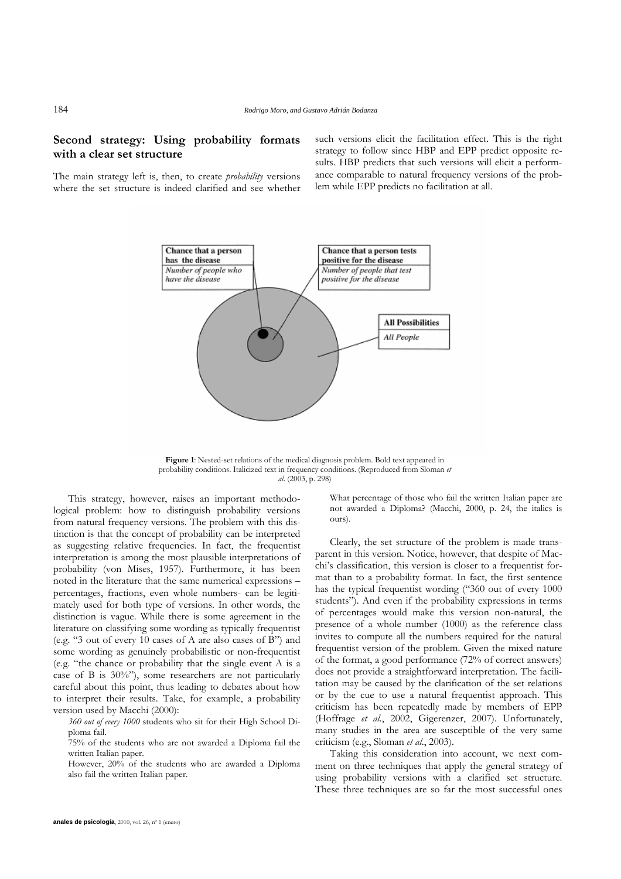# **Second strategy: Using probability formats with a clear set structure**

The main strategy left is, then, to create *probability* versions where the set structure is indeed clarified and see whether such versions elicit the facilitation effect. This is the right strategy to follow since HBP and EPP predict opposite results. HBP predicts that such versions will elicit a performance comparable to natural frequency versions of the problem while EPP predicts no facilitation at all.



**Figure 1**: Nested-set relations of the medical diagnosis problem. Bold text appeared in probability conditions. Italicized text in frequency conditions. (Reproduced from Sloman *et al*. (2003, p. 298)

This strategy, however, raises an important methodological problem: how to distinguish probability versions from natural frequency versions. The problem with this distinction is that the concept of probability can be interpreted as suggesting relative frequencies. In fact, the frequentist interpretation is among the most plausible interpretations of probability (von Mises, 1957). Furthermore, it has been noted in the literature that the same numerical expressions – percentages, fractions, even whole numbers- can be legitimately used for both type of versions. In other words, the distinction is vague. While there is some agreement in the literature on classifying some wording as typically frequentist (e.g. "3 out of every 10 cases of A are also cases of B") and some wording as genuinely probabilistic or non-frequentist (e.g. "the chance or probability that the single event A is a case of B is 30%"), some researchers are not particularly careful about this point, thus leading to debates about how to interpret their results. Take, for example, a probability version used by Macchi (2000):

*360 out of every 1000* students who sit for their High School Diploma fail.

75% of the students who are not awarded a Diploma fail the written Italian paper. Taking this consideration into account, we next com-

However, 20% of the students who are awarded a Diploma also fail the written Italian paper.

What percentage of those who fail the written Italian paper are not awarded a Diploma? (Macchi, 2000, p. 24, the italics is ours).

Clearly, the set structure of the problem is made transparent in this version. Notice, however, that despite of Macchi's classification, this version is closer to a frequentist format than to a probability format. In fact, the first sentence has the typical frequentist wording ("360 out of every 1000 students"). And even if the probability expressions in terms of percentages would make this version non-natural, the presence of a whole number (1000) as the reference class invites to compute all the numbers required for the natural frequentist version of the problem. Given the mixed nature of the format, a good performance (72% of correct answers) does not provide a straightforward interpretation. The facilitation may be caused by the clarification of the set relations or by the cue to use a natural frequentist approach. This criticism has been repeatedly made by members of EPP (Hoffrage *et al*., 2002, Gigerenzer, 2007). Unfortunately, many studies in the area are susceptible of the very same criticism (e.g., Sloman *et al*., 2003).

ment on three techniques that apply the general strategy of using probability versions with a clarified set structure. These three techniques are so far the most successful ones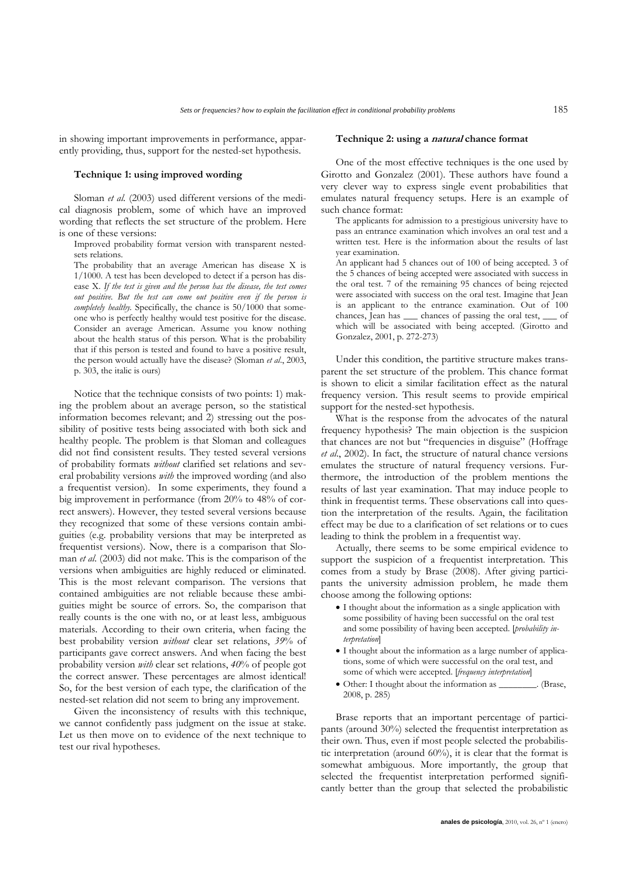in showing important improvements in performance, apparently providing, thus, support for the nested-set hypothesis.

### **Technique 1: using improved wording**

Sloman *et al*. (2003) used different versions of the medical diagnosis problem, some of which have an improved wording that reflects the set structure of the problem. Here is one of these versions:

Improved probability format version with transparent nestedsets relations.

The probability that an average American has disease X is 1/1000. A test has been developed to detect if a person has disease X. *If the test is given and the person has the disease, the test comes out positive. But the test can come out positive even if the person is completely healthy*. Specifically, the chance is 50/1000 that someone who is perfectly healthy would test positive for the disease. Consider an average American. Assume you know nothing about the health status of this person. What is the probability that if this person is tested and found to have a positive result, the person would actually have the disease? (Sloman *et al*., 2003, p. 303, the italic is ours)

Notice that the technique consists of two points: 1) making the problem about an average person, so the statistical information becomes relevant; and 2) stressing out the possibility of positive tests being associated with both sick and healthy people. The problem is that Sloman and colleagues did not find consistent results. They tested several versions of probability formats *without* clarified set relations and several probability versions *with* the improved wording (and also a frequentist version). In some experiments, they found a big improvement in performance (from 20% to 48% of correct answers). However, they tested several versions because they recognized that some of these versions contain ambiguities (e.g. probability versions that may be interpreted as frequentist versions). Now, there is a comparison that Sloman *et al*. (2003) did not make. This is the comparison of the versions when ambiguities are highly reduced or eliminated. This is the most relevant comparison. The versions that contained ambiguities are not reliable because these ambiguities might be source of errors. So, the comparison that really counts is the one with no, or at least less, ambiguous materials. According to their own criteria, when facing the best probability version *without* clear set relations, *39*% of participants gave correct answers. And when facing the best probability version *with* clear set relations, *40*% of people got the correct answer. These percentages are almost identical! So, for the best version of each type, the clarification of the nested-set relation did not seem to bring any improvement.

Given the inconsistency of results with this technique, we cannot confidently pass judgment on the issue at stake. Let us then move on to evidence of the next technique to test our rival hypotheses.

#### **Technique 2: using a natural chance format**

One of the most effective techniques is the one used by Girotto and Gonzalez (2001). These authors have found a very clever way to express single event probabilities that emulates natural frequency setups. Here is an example of such chance format:

The applicants for admission to a prestigious university have to pass an entrance examination which involves an oral test and a written test. Here is the information about the results of last year examination.

An applicant had 5 chances out of 100 of being accepted. 3 of the 5 chances of being accepted were associated with success in the oral test. 7 of the remaining 95 chances of being rejected were associated with success on the oral test. Imagine that Jean is an applicant to the entrance examination. Out of 100 chances, Jean has \_\_\_ chances of passing the oral test, \_\_\_ of which will be associated with being accepted. (Girotto and Gonzalez, 2001, p. 272-273)

Under this condition, the partitive structure makes transparent the set structure of the problem. This chance format is shown to elicit a similar facilitation effect as the natural frequency version. This result seems to provide empirical support for the nested-set hypothesis.

What is the response from the advocates of the natural frequency hypothesis? The main objection is the suspicion that chances are not but "frequencies in disguise" (Hoffrage *et al*., 2002). In fact, the structure of natural chance versions emulates the structure of natural frequency versions. Furthermore, the introduction of the problem mentions the results of last year examination. That may induce people to think in frequentist terms. These observations call into question the interpretation of the results. Again, the facilitation effect may be due to a clarification of set relations or to cues leading to think the problem in a frequentist way.

Actually, there seems to be some empirical evidence to support the suspicion of a frequentist interpretation. This comes from a study by Brase (2008). After giving participants the university admission problem, he made them choose among the following options:

- I thought about the information as a single application with some possibility of having been successful on the oral test and some possibility of having been accepted. [*probability interpretation*]
- I thought about the information as a large number of applications, some of which were successful on the oral test, and some of which were accepted. [*frequency interpretation*]
- Other: I thought about the information as \_\_\_\_\_\_\_\_. (Brase, 2008, p. 285)

Brase reports that an important percentage of participants (around 30%) selected the frequentist interpretation as their own. Thus, even if most people selected the probabilistic interpretation (around 60%), it is clear that the format is somewhat ambiguous. More importantly, the group that selected the frequentist interpretation performed significantly better than the group that selected the probabilistic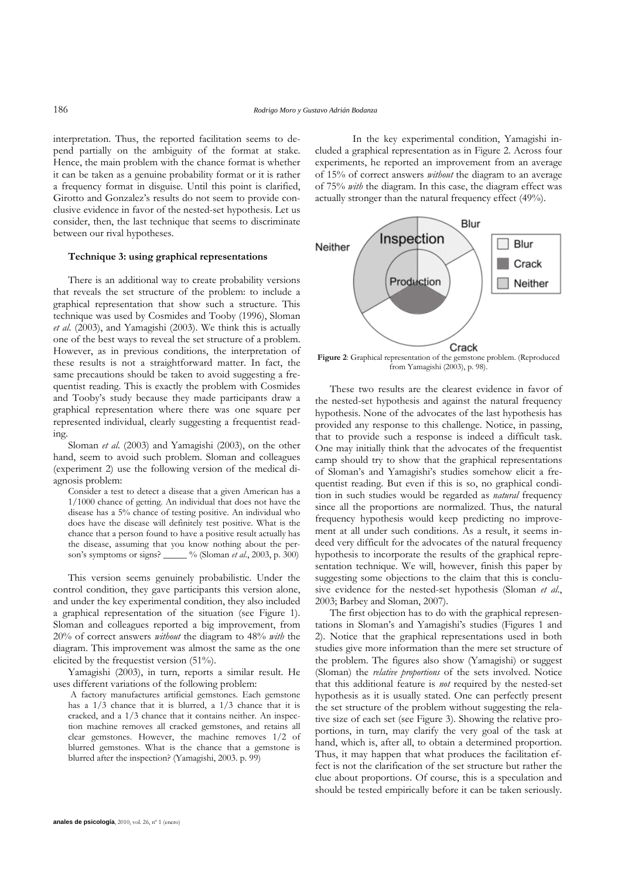interpretation. Thus, the reported facilitation seems to depend partially on the ambiguity of the format at stake. Hence, the main problem with the chance format is whether it can be taken as a genuine probability format or it is rather a frequency format in disguise. Until this point is clarified, Girotto and Gonzalez's results do not seem to provide conclusive evidence in favor of the nested-set hypothesis. Let us consider, then, the last technique that seems to discriminate between our rival hypotheses.

## **Technique 3: using graphical representations**

There is an additional way to create probability versions that reveals the set structure of the problem: to include a graphical representation that show such a structure. This technique was used by Cosmides and Tooby (1996), Sloman *et al*. (2003), and Yamagishi (2003). We think this is actually one of the best ways to reveal the set structure of a problem. However, as in previous conditions, the interpretation of these results is not a straightforward matter. In fact, the same precautions should be taken to avoid suggesting a frequentist reading. This is exactly the problem with Cosmides and Tooby's study because they made participants draw a graphical representation where there was one square per represented individual, clearly suggesting a frequentist reading.

Sloman *et al*. (2003) and Yamagishi (2003), on the other hand, seem to avoid such problem. Sloman and colleagues (experiment 2) use the following version of the medical diagnosis problem:

Consider a test to detect a disease that a given American has a 1/1000 chance of getting. An individual that does not have the disease has a 5% chance of testing positive. An individual who does have the disease will definitely test positive. What is the chance that a person found to have a positive result actually has the disease, assuming that you know nothing about the person's symptoms or signs? \_\_\_\_\_ % (Sloman *et al*., 2003, p. 300)

This version seems genuinely probabilistic. Under the control condition, they gave participants this version alone, and under the key experimental condition, they also included a graphical representation of the situation (see Figure 1). Sloman and colleagues reported a big improvement, from 20% of correct answers *without* the diagram to 48% *with* the diagram. This improvement was almost the same as the one elicited by the frequestist version (51%).

Yamagishi (2003), in turn, reports a similar result. He uses different variations of the following problem:

A factory manufactures artificial gemstones. Each gemstone has a  $1/3$  chance that it is blurred, a  $1/3$  chance that it is cracked, and a 1/3 chance that it contains neither. An inspection machine removes all cracked gemstones, and retains all clear gemstones. However, the machine removes 1/2 of blurred gemstones. What is the chance that a gemstone is blurred after the inspection? (Yamagishi, 2003. p. 99)

In the key experimental condition, Yamagishi included a graphical representation as in Figure 2. Across four experiments, he reported an improvement from an average of 15% of correct answers *without* the diagram to an average of 75% *with* the diagram. In this case, the diagram effect was actually stronger than the natural frequency effect (49%).



**Figure 2**: Graphical representation of the gemstone problem. (Reproduced from Yamagishi (2003), p. 98).

These two results are the clearest evidence in favor of the nested-set hypothesis and against the natural frequency hypothesis. None of the advocates of the last hypothesis has provided any response to this challenge. Notice, in passing, that to provide such a response is indeed a difficult task. One may initially think that the advocates of the frequentist camp should try to show that the graphical representations of Sloman's and Yamagishi's studies somehow elicit a frequentist reading. But even if this is so, no graphical condition in such studies would be regarded as *natural* frequency since all the proportions are normalized. Thus, the natural frequency hypothesis would keep predicting no improvement at all under such conditions. As a result, it seems indeed very difficult for the advocates of the natural frequency hypothesis to incorporate the results of the graphical representation technique. We will, however, finish this paper by suggesting some objections to the claim that this is conclusive evidence for the nested-set hypothesis (Sloman *et al*., 2003; Barbey and Sloman, 2007).

The first objection has to do with the graphical representations in Sloman's and Yamagishi's studies (Figures 1 and 2). Notice that the graphical representations used in both studies give more information than the mere set structure of the problem. The figures also show (Yamagishi) or suggest (Sloman) the *relative proportions* of the sets involved. Notice that this additional feature is *not* required by the nested-set hypothesis as it is usually stated. One can perfectly present the set structure of the problem without suggesting the relative size of each set (see Figure 3). Showing the relative proportions, in turn, may clarify the very goal of the task at hand, which is, after all, to obtain a determined proportion. Thus, it may happen that what produces the facilitation effect is not the clarification of the set structure but rather the clue about proportions. Of course, this is a speculation and should be tested empirically before it can be taken seriously.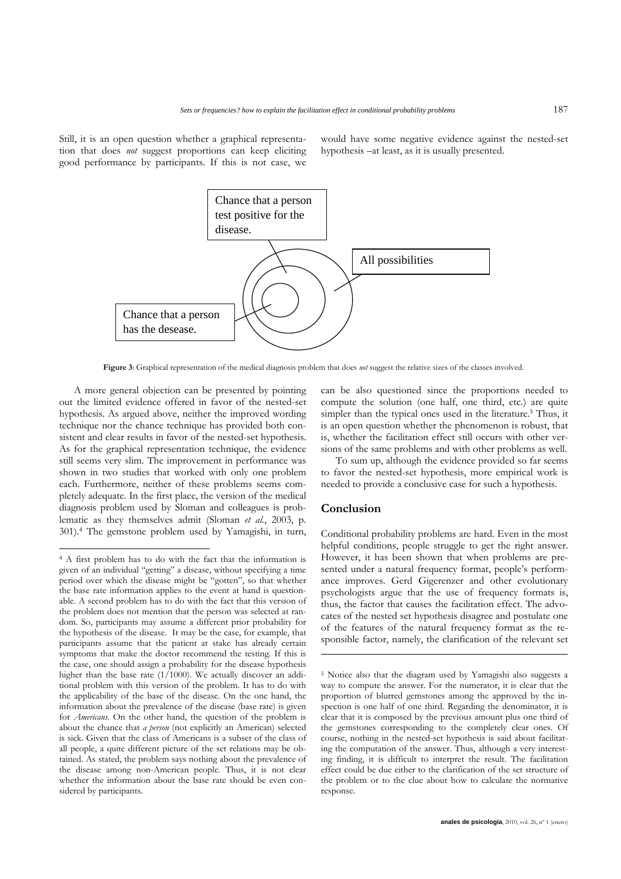Still, it is an open question whether a graphical representation that does *not* suggest proportions can keep eliciting good performance by participants. If this is not case, we would have some negative evidence against the nested-set hypothesis –at least, as it is usually presented.



**Figure 3**: Graphical representation of the medical diagnosis problem that does *not* suggest the relative sizes of the classes involved.

A more general objection can be presented by pointing out the limited evidence offered in favor of the nested-set hypothesis. As argued above, neither the improved wording technique nor the chance technique has provided both consistent and clear results in favor of the nested-set hypothesis. As for the graphical representation technique, the evidence still seems very slim. The improvement in performance was shown in two studies that worked with only one problem each. Furthermore, neither of these problems seems completely adequate. In the first place, the version of the medical diagnosis problem used by Sloman and colleagues is problematic as they themselves admit (Sloman *et al*., 2003, p. 301).[4](#page-6-0) The gemstone problem used by Yamagishi, in turn,

 $\overline{a}$ 

can be also questioned since the proportions needed to compute the solution (one half, one third, etc.) are quite simpler than the typical ones used in the literature.<sup>5</sup> Thus, it is an open question whether the phenomenon is robust, that is, whether the facilitation effect still occurs with other versions of the same problems and with other problems as well.

To sum up, although the evidence provided so far seems to favor the nested-set hypothesis, more empirical work is needed to provide a conclusive case for such a hypothesis.

## **Conclusion**

-

Conditional probability problems are hard. Even in the most helpful conditions, people struggle to get the right answer. However, it has been shown that when problems are presented under a natural frequency format, people's performance improves. Gerd Gigerenzer and other evolutionary psychologists argue that the use of frequency formats is, thus, the factor that causes the facilitation effect. The advocates of the nested set hypothesis disagree and postulate one of the features of the natural frequency format as the responsible factor, namely, the clarification of the relevant set

<span id="page-6-0"></span><sup>4</sup> A first problem has to do with the fact that the information is given of an individual "getting" a disease, without specifying a time period over which the disease might be "gotten", so that whether the base rate information applies to the event at hand is questionable. A second problem has to do with the fact that this version of the problem does not mention that the person was selected at random. So, participants may assume a different prior probability for the hypothesis of the disease. It may be the case, for example, that participants assume that the patient at stake has already certain symptoms that make the doctor recommend the testing. If this is the case, one should assign a probability for the disease hypothesis higher than the base rate (1/1000). We actually discover an additional problem with this version of the problem. It has to do with the applicability of the base of the disease. On the one hand, the information about the prevalence of the disease (base rate) is given for *Americans*. On the other hand, the question of the problem is about the chance that *a person* (not explicitly an American) selected is sick. Given that the class of Americans is a subset of the class of all people, a quite different picture of the set relations may be obtained. As stated, the problem says nothing about the prevalence of the disease among non-American people. Thus, it is not clear whether the information about the base rate should be even considered by participants.

<span id="page-6-1"></span><sup>5</sup> Notice also that the diagram used by Yamagishi also suggests a way to compute the answer. For the numerator, it is clear that the proportion of blurred gemstones among the approved by the inspection is one half of one third. Regarding the denominator, it is clear that it is composed by the previous amount plus one third of the gemstones corresponding to the completely clear ones. Of course, nothing in the nested-set hypothesis is said about facilitating the computation of the answer. Thus, although a very interesting finding, it is difficult to interpret the result. The facilitation effect could be due either to the clarification of the set structure of the problem or to the clue about how to calculate the normative response.